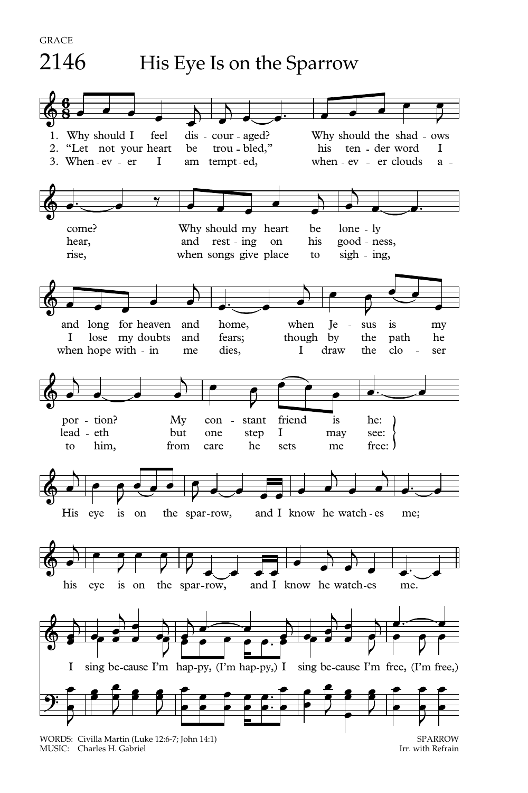

MUSIC: Charles H. Gabriel